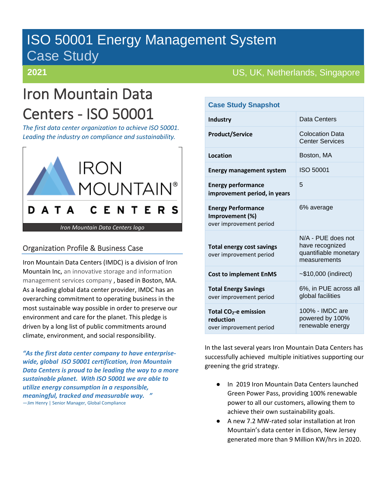## ISO 50001 Energy Management System Case Study

# Iron Mountain Data Centers - ISO 50001

*The first data center organization to achieve ISO 50001. Leading the industry on compliance and sustainability.* 



### Organization Profile & Business Case

Iron Mountain Data Centers (IMDC) is a division of Iron Mountain Inc, an innovative storage and information management services company , based in Boston, MA. As a leading global data center provider, IMDC has an overarching commitment to operating business in the most sustainable way possible in order to preserve our environment and care for the planet. This pledge is driven by a long list of public commitments around climate, environment, and social responsibility.

*"As the first data center company to have enterprisewide, global ISO 50001 certification, Iron Mountain Data Centers is proud to be leading the way to a more sustainable planet. With ISO 50001 we are able to utilize energy consumption in a responsible, meaningful, tracked and measurable way. "* —Jim Henry | Senior Manager, Global Compliance

### **2021 US, UK, Netherlands, Singapore**

| <b>Case Study Snapshot</b>                                                |                                                                                |
|---------------------------------------------------------------------------|--------------------------------------------------------------------------------|
| <b>Industry</b>                                                           | Data Centers                                                                   |
| <b>Product/Service</b>                                                    | <b>Colocation Data</b><br><b>Center Services</b>                               |
| Location                                                                  | Boston, MA                                                                     |
| <b>Energy management system</b>                                           | ISO 50001                                                                      |
| <b>Energy performance</b><br>improvement period, in years                 | 5                                                                              |
| <b>Energy Performance</b><br>Improvement (%)<br>over improvement period   | 6% average                                                                     |
| <b>Total energy cost savings</b><br>over improvement period               | N/A - PUE does not<br>have recognized<br>quantifiable monetary<br>measurements |
| <b>Cost to implement EnMS</b>                                             | $~510,000$ (indirect)                                                          |
| <b>Total Energy Savings</b><br>over improvement period                    | 6%, in PUE across all<br>global facilities                                     |
| Total CO <sub>2</sub> -e emission<br>reduction<br>over improvement period | 100% - IMDC are<br>powered by 100%<br>renewable energy                         |

In the last several years Iron Mountain Data Centers has successfully achieved multiple initiatives supporting our greening the grid strategy.

- In 2019 Iron Mountain Data Centers launched Green Power Pass, providing 100% renewable power to all our customers, allowing them to achieve their own sustainability goals.
- A new 7.2 MW-rated solar installation at Iron Mountain's data center in Edison, New Jersey generated more than 9 Million KW/hrs in 2020.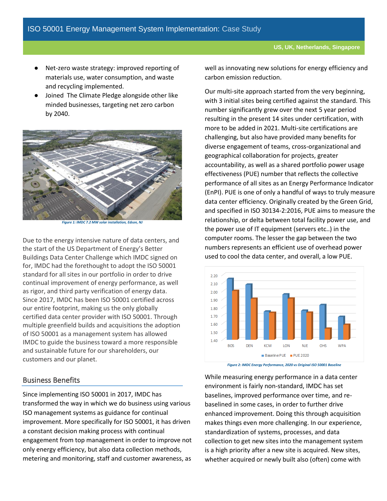- Net-zero waste strategy: improved reporting of materials use, water consumption, and waste and recycling implemented.
- Joined The Climate Pledge alongside other like minded businesses, targeting net zero carbon by 2040.



*Figure 1: IMDC 7.2 MW solar installation, Edson, NJ*

Due to the energy intensive nature of data centers, and the start of the US Department of Energy's Better Buildings Data Center Challenge which IMDC signed on for, IMDC had the forethought to adopt the ISO 50001 standard for all sites in our portfolio in order to drive continual improvement of energy performance, as well as rigor, and third party verification of energy data. Since 2017, IMDC has been ISO 50001 certified across our entire footprint, making us the only globally certified data center provider with ISO 50001. Through multiple greenfield builds and acquisitions the adoption of ISO 50001 as a management system has allowed IMDC to guide the business toward a more responsible and sustainable future for our shareholders, our customers and our planet.

#### Business Benefits

Since implementing ISO 50001 in 2017, IMDC has transformed the way in which we do business using various ISO management systems as guidance for continual improvement. More specifically for ISO 50001, it has driven a constant decision making process with continual engagement from top management in order to improve not only energy efficiency, but also data collection methods, metering and monitoring, staff and customer awareness, as

well as innovating new solutions for energy efficiency and carbon emission reduction.

Our multi-site approach started from the very beginning, with 3 initial sites being certified against the standard. This number significantly grew over the next 5 year period resulting in the present 14 sites under certification, with more to be added in 2021. Multi-site certifications are challenging, but also have provided many benefits for diverse engagement of teams, cross-organizational and geographical collaboration for projects, greater accountability, as well as a shared portfolio power usage effectiveness (PUE) number that reflects the collective performance of all sites as an Energy Performance Indicator (EnPI). PUE is one of only a handful of ways to truly measure data center efficiency. Originally created by the Green Grid, and specified in ISO 30134-2:2016, PUE aims to measure the relationship, or delta between total facility power use, and the power use of IT equipment (servers etc..) in the computer rooms. The lesser the gap between the two numbers represents an efficient use of overhead power used to cool the data center, and overall, a low PUE.



*Figure 2: IMDC Energy Performance, 2020 vs Original ISO 50001 Baseline*

While measuring energy performance in a data center environment is fairly non-standard, IMDC has set baselines, improved performance over time, and rebaselined in some cases, in order to further drive enhanced improvement. Doing this through acquisition makes things even more challenging. In our experience, standardization of systems, processes, and data collection to get new sites into the management system is a high priority after a new site is acquired. New sites, whether acquired or newly built also (often) come with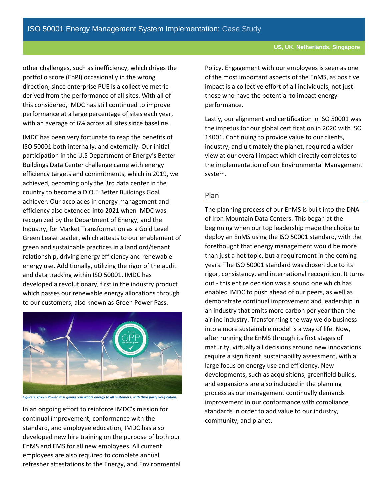other challenges, such as inefficiency, which drives the portfolio score (EnPI) occasionally in the wrong direction, since enterprise PUE is a collective metric derived from the performance of all sites. With all of this considered, IMDC has still continued to improve performance at a large percentage of sites each year, with an average of 6% across all sites since baseline.

IMDC has been very fortunate to reap the benefits of ISO 50001 both internally, and externally. Our initial participation in the U.S Department of Energy's Better Buildings Data Center challenge came with energy efficiency targets and commitments, which in 2019, we achieved, becoming only the 3rd data center in the country to become a D.O.E Better Buildings Goal achiever. Our accolades in energy management and efficiency also extended into 2021 when IMDC was recognized by the Department of Energy, and the Industry, for Market Transformation as a Gold Level Green Lease Leader, which attests to our enablement of green and sustainable practices in a landlord/tenant relationship, driving energy efficiency and renewable energy use. Additionally, utilizing the rigor of the audit and data tracking within ISO 50001, IMDC has developed a revolutionary, first in the industry product which passes our renewable energy allocations through to our customers, also known as Green Power Pass.



*Figure 3: Green Power Pass giving renewable energy to all customers, with third party verification.*

In an ongoing effort to reinforce IMDC's mission for continual improvement, conformance with the standard, and employee education, IMDC has also developed new hire training on the purpose of both our EnMS and EMS for all new employees. All current employees are also required to complete annual refresher attestations to the Energy, and Environmental

Policy. Engagement with our employees is seen as one of the most important aspects of the EnMS, as positive impact is a collective effort of all individuals, not just those who have the potential to impact energy performance.

Lastly, our alignment and certification in ISO 50001 was the impetus for our global certification in 2020 with ISO 14001. Continuing to provide value to our clients, industry, and ultimately the planet, required a wider view at our overall impact which directly correlates to the implementation of our Environmental Management system.

#### Plan

The planning process of our EnMS is built into the DNA of Iron Mountain Data Centers. This began at the beginning when our top leadership made the choice to deploy an EnMS using the ISO 50001 standard, with the forethought that energy management would be more than just a hot topic, but a requirement in the coming years. The ISO 50001 standard was chosen due to its rigor, consistency, and international recognition. It turns out - this entire decision was a sound one which has enabled IMDC to push ahead of our peers, as well as demonstrate continual improvement and leadership in an industry that emits more carbon per year than the airline industry. Transforming the way we do business into a more sustainable model is a way of life. Now, after running the EnMS through its first stages of maturity, virtually all decisions around new innovations require a significant sustainability assessment, with a large focus on energy use and efficiency. New developments, such as acquisitions, greenfield builds, and expansions are also included in the planning process as our management continually demands improvement in our conformance with compliance standards in order to add value to our industry, community, and planet.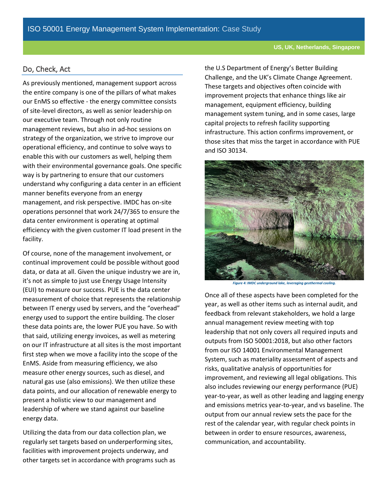#### Do, Check, Act

As previously mentioned, management support across the entire company is one of the pillars of what makes our EnMS so effective - the energy committee consists of site-level directors, as well as senior leadership on our executive team. Through not only routine management reviews, but also in ad-hoc sessions on strategy of the organization, we strive to improve our operational efficiency, and continue to solve ways to enable this with our customers as well, helping them with their environmental governance goals. One specific way is by partnering to ensure that our customers understand why configuring a data center in an efficient manner benefits everyone from an energy management, and risk perspective. IMDC has on-site operations personnel that work 24/7/365 to ensure the data center environment is operating at optimal efficiency with the given customer IT load present in the facility.

Of course, none of the management involvement, or continual improvement could be possible without good data, or data at all. Given the unique industry we are in, it's not as simple to just use Energy Usage Intensity (EUI) to measure our success. PUE is the data center measurement of choice that represents the relationship between IT energy used by servers, and the "overhead" energy used to support the entire building. The closer these data points are, the lower PUE you have. So with that said, utilizing energy invoices, as well as metering on our IT infrastructure at all sites is the most important first step when we move a facility into the scope of the EnMS. Aside from measuring efficiency, we also measure other energy sources, such as diesel, and natural gas use (also emissions). We then utilize these data points, and our allocation of renewable energy to present a holistic view to our management and leadership of where we stand against our baseline energy data.

Utilizing the data from our data collection plan, we regularly set targets based on underperforming sites, facilities with improvement projects underway, and other targets set in accordance with programs such as the U.S Department of Energy's Better Building Challenge, and the UK's Climate Change Agreement. These targets and objectives often coincide with improvement projects that enhance things like air management, equipment efficiency, building management system tuning, and in some cases, large capital projects to refresh facility supporting infrastructure. This action confirms improvement, or those sites that miss the target in accordance with PUE and ISO 30134.



*Figure 4: IMDC underground lake, leveraging geothermal cooling.*

Once all of these aspects have been completed for the year, as well as other items such as internal audit, and feedback from relevant stakeholders, we hold a large annual management review meeting with top leadership that not only covers all required inputs and outputs from ISO 50001:2018, but also other factors from our ISO 14001 Environmental Management System, such as materiality assessment of aspects and risks, qualitative analysis of opportunities for improvement, and reviewing all legal obligations. This also includes reviewing our energy performance (PUE) year-to-year, as well as other leading and lagging energy and emissions metrics year-to-year, and vs baseline. The output from our annual review sets the pace for the rest of the calendar year, with regular check points in between in order to ensure resources, awareness, communication, and accountability.